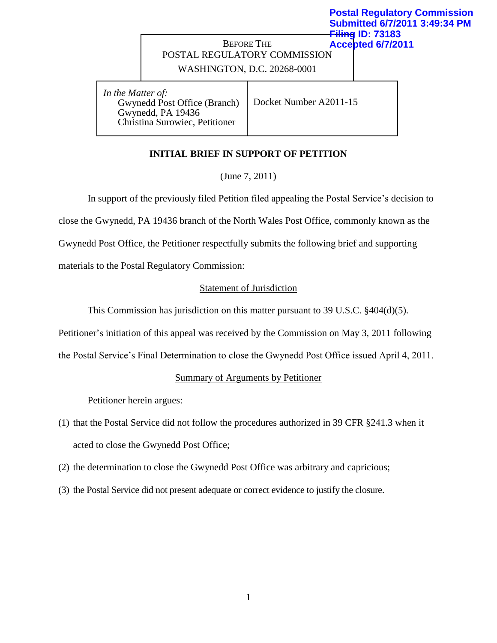#### **Postal Regulatory Commission Submitted 6/7/2011 3:49:34 PM Filing ID: 73183**

### BEFORE THE POSTAL REGULATORY COMMISSION **Accepted 6/7/2011**

WASHINGTON, D.C. 20268-0001

*In the Matter of:* Gwynedd Post Office (Branch) Gwynedd, PA 19436 Christina Surowiec, Petitioner

Docket Number A2011-15

# **INITIAL BRIEF IN SUPPORT OF PETITION**

(June 7, 2011)

In support of the previously filed Petition filed appealing the Postal Service's decision to close the Gwynedd, PA 19436 branch of the North Wales Post Office, commonly known as the Gwynedd Post Office, the Petitioner respectfully submits the following brief and supporting

materials to the Postal Regulatory Commission:

## Statement of Jurisdiction

This Commission has jurisdiction on this matter pursuant to 39 U.S.C.  $\frac{404(d)(5)}{2}$ .

Petitioner's initiation of this appeal was received by the Commission on May 3, 2011 following

the Postal Service's Final Determination to close the Gwynedd Post Office issued April 4, 2011.

## Summary of Arguments by Petitioner

Petitioner herein argues:

- (1) that the Postal Service did not follow the procedures authorized in 39 CFR §241.3 when it acted to close the Gwynedd Post Office;
- (2) the determination to close the Gwynedd Post Office was arbitrary and capricious;
- (3) the Postal Service did not present adequate or correct evidence to justify the closure.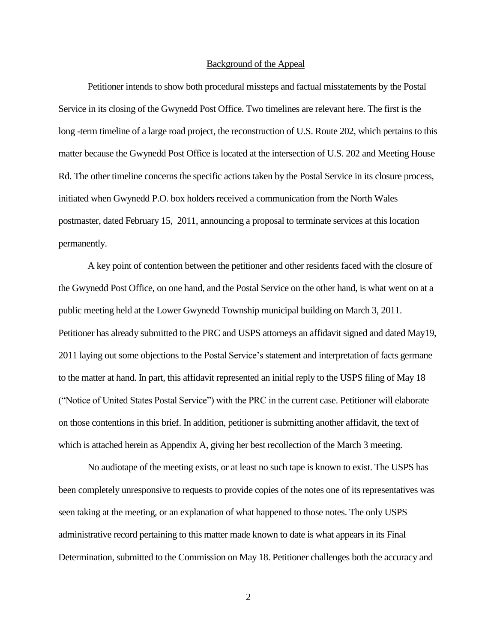#### Background of the Appeal

Petitioner intends to show both procedural missteps and factual misstatements by the Postal Service in its closing of the Gwynedd Post Office. Two timelines are relevant here. The first is the long -term timeline of a large road project, the reconstruction of U.S. Route 202, which pertains to this matter because the Gwynedd Post Office is located at the intersection of U.S. 202 and Meeting House Rd. The other timeline concerns the specific actions taken by the Postal Service in its closure process, initiated when Gwynedd P.O. box holders received a communication from the North Wales postmaster, dated February 15, 2011, announcing a proposal to terminate services at this location permanently.

A key point of contention between the petitioner and other residents faced with the closure of the Gwynedd Post Office, on one hand, and the Postal Service on the other hand, is what went on at a public meeting held at the Lower Gwynedd Township municipal building on March 3, 2011. Petitioner has already submitted to the PRC and USPS attorneys an affidavit signed and dated May19, 2011 laying out some objections to the Postal Service's statement and interpretation of facts germane to the matter at hand. In part, this affidavit represented an initial reply to the USPS filing of May 18 ("Notice of United States Postal Service") with the PRC in the current case. Petitioner will elaborate on those contentions in this brief. In addition, petitioner is submitting another affidavit, the text of which is attached herein as Appendix A, giving her best recollection of the March 3 meeting.

No audiotape of the meeting exists, or at least no such tape is known to exist. The USPS has been completely unresponsive to requests to provide copies of the notes one of its representatives was seen taking at the meeting, or an explanation of what happened to those notes. The only USPS administrative record pertaining to this matter made known to date is what appears in its Final Determination, submitted to the Commission on May 18. Petitioner challenges both the accuracy and

2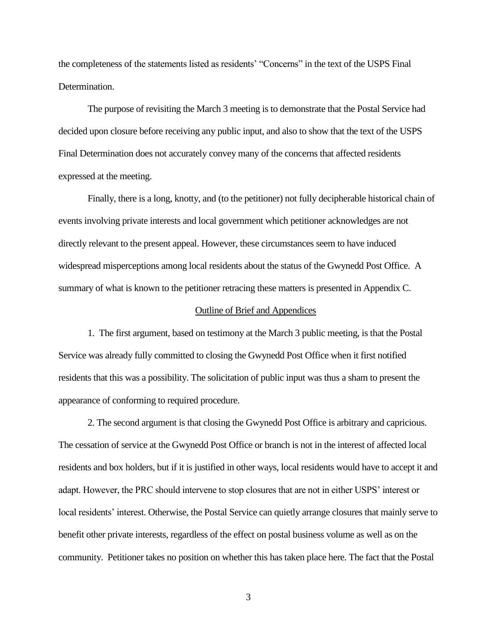the completeness of the statements listed as residents' "Concerns" in the text of the USPS Final Determination.

The purpose of revisiting the March 3 meeting is to demonstrate that the Postal Service had decided upon closure before receiving any public input, and also to show that the text of the USPS Final Determination does not accurately convey many of the concerns that affected residents expressed at the meeting.

Finally, there is a long, knotty, and (to the petitioner) not fully decipherable historical chain of events involving private interests and local government which petitioner acknowledges are not directly relevant to the present appeal. However, these circumstances seem to have induced widespread misperceptions among local residents about the status of the Gwynedd Post Office. A summary of what is known to the petitioner retracing these matters is presented in Appendix C.

#### Outline of Brief and Appendices

1. The first argument, based on testimony at the March 3 public meeting, is that the Postal Service was already fully committed to closing the Gwynedd Post Office when it first notified residents that this was a possibility. The solicitation of public input was thus a sham to present the appearance of conforming to required procedure.

2. The second argument is that closing the Gwynedd Post Office is arbitrary and capricious. The cessation of service at the Gwynedd Post Office or branch is not in the interest of affected local residents and box holders, but if it is justified in other ways, local residents would have to accept it and adapt. However, the PRC should intervene to stop closures that are not in either USPS' interest or local residents' interest. Otherwise, the Postal Service can quietly arrange closures that mainly serve to benefit other private interests, regardless of the effect on postal business volume as well as on the community. Petitioner takes no position on whether this has taken place here. The fact that the Postal

3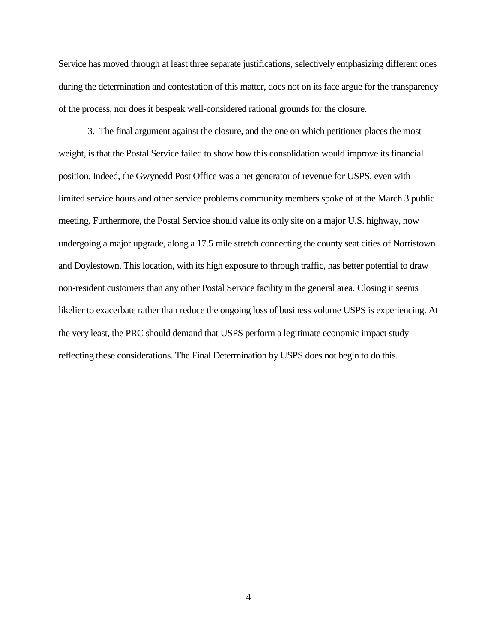Service has moved through at least three separate justifications, selectively emphasizing different ones during the determination and contestation of this matter, does not on its face argue for the transparency of the process, nor does it bespeak well-considered rational grounds for the closure.

3. The final argument against the closure, and the one on which petitioner places the most weight, is that the Postal Service failed to show how this consolidation would improve its financial position. Indeed, the Gwynedd Post Office was a net generator of revenue for USPS, even with limited service hours and other service problems community members spoke of at the March 3 public meeting. Furthermore, the Postal Service should value its only site on a major U.S. highway, now undergoing a major upgrade, along a 17.5 mile stretch connecting the county seat cities of Norristown and Doylestown. This location, with its high exposure to through traffic, has better potential to draw non-resident customers than any other Postal Service facility in the general area. Closing it seems likelier to exacerbate rather than reduce the ongoing loss of business volume USPS is experiencing. At the very least, the PRC should demand that USPS perform a legitimate economic impact study reflecting these considerations. The Final Determination by USPS does not begin to do this.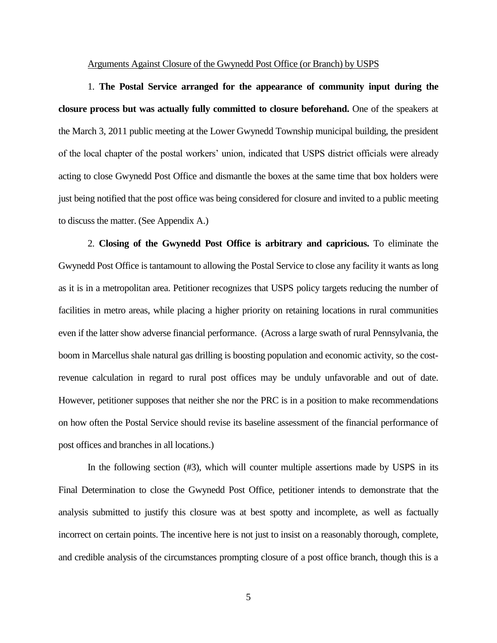Arguments Against Closure of the Gwynedd Post Office (or Branch) by USPS

1. **The Postal Service arranged for the appearance of community input during the closure process but was actually fully committed to closure beforehand.** One of the speakers at the March 3, 2011 public meeting at the Lower Gwynedd Township municipal building, the president of the local chapter of the postal workers' union, indicated that USPS district officials were already acting to close Gwynedd Post Office and dismantle the boxes at the same time that box holders were just being notified that the post office was being considered for closure and invited to a public meeting to discuss the matter. (See Appendix A.)

2. **Closing of the Gwynedd Post Office is arbitrary and capricious.** To eliminate the Gwynedd Post Office is tantamount to allowing the Postal Service to close any facility it wants as long as it is in a metropolitan area. Petitioner recognizes that USPS policy targets reducing the number of facilities in metro areas, while placing a higher priority on retaining locations in rural communities even if the latter show adverse financial performance. (Across a large swath of rural Pennsylvania, the boom in Marcellus shale natural gas drilling is boosting population and economic activity, so the costrevenue calculation in regard to rural post offices may be unduly unfavorable and out of date. However, petitioner supposes that neither she nor the PRC is in a position to make recommendations on how often the Postal Service should revise its baseline assessment of the financial performance of post offices and branches in all locations.)

In the following section (#3), which will counter multiple assertions made by USPS in its Final Determination to close the Gwynedd Post Office, petitioner intends to demonstrate that the analysis submitted to justify this closure was at best spotty and incomplete, as well as factually incorrect on certain points. The incentive here is not just to insist on a reasonably thorough, complete, and credible analysis of the circumstances prompting closure of a post office branch, though this is a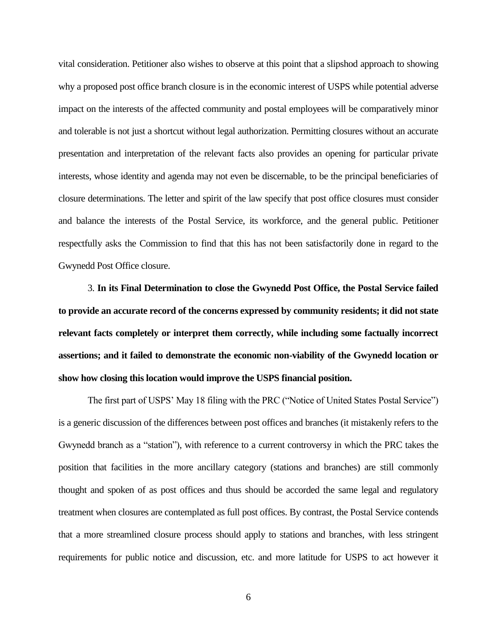vital consideration. Petitioner also wishes to observe at this point that a slipshod approach to showing why a proposed post office branch closure is in the economic interest of USPS while potential adverse impact on the interests of the affected community and postal employees will be comparatively minor and tolerable is not just a shortcut without legal authorization. Permitting closures without an accurate presentation and interpretation of the relevant facts also provides an opening for particular private interests, whose identity and agenda may not even be discernable, to be the principal beneficiaries of closure determinations. The letter and spirit of the law specify that post office closures must consider and balance the interests of the Postal Service, its workforce, and the general public. Petitioner respectfully asks the Commission to find that this has not been satisfactorily done in regard to the Gwynedd Post Office closure.

3. **In its Final Determination to close the Gwynedd Post Office, the Postal Service failed to provide an accurate record of the concerns expressed by community residents; it did not state relevant facts completely or interpret them correctly, while including some factually incorrect assertions; and it failed to demonstrate the economic non-viability of the Gwynedd location or show how closing this location would improve the USPS financial position.** 

The first part of USPS' May 18 filing with the PRC ("Notice of United States Postal Service") is a generic discussion of the differences between post offices and branches (it mistakenly refers to the Gwynedd branch as a "station"), with reference to a current controversy in which the PRC takes the position that facilities in the more ancillary category (stations and branches) are still commonly thought and spoken of as post offices and thus should be accorded the same legal and regulatory treatment when closures are contemplated as full post offices. By contrast, the Postal Service contends that a more streamlined closure process should apply to stations and branches, with less stringent requirements for public notice and discussion, etc. and more latitude for USPS to act however it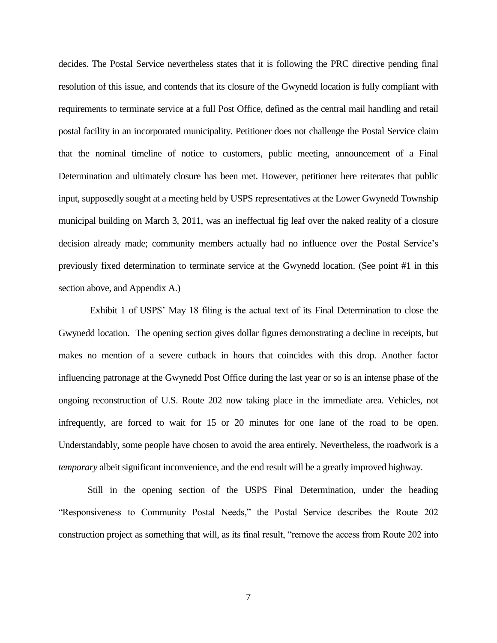decides. The Postal Service nevertheless states that it is following the PRC directive pending final resolution of this issue, and contends that its closure of the Gwynedd location is fully compliant with requirements to terminate service at a full Post Office, defined as the central mail handling and retail postal facility in an incorporated municipality. Petitioner does not challenge the Postal Service claim that the nominal timeline of notice to customers, public meeting, announcement of a Final Determination and ultimately closure has been met. However, petitioner here reiterates that public input, supposedly sought at a meeting held by USPS representatives at the Lower Gwynedd Township municipal building on March 3, 2011, was an ineffectual fig leaf over the naked reality of a closure decision already made; community members actually had no influence over the Postal Service's previously fixed determination to terminate service at the Gwynedd location. (See point #1 in this section above, and Appendix A.)

Exhibit 1 of USPS' May 18 filing is the actual text of its Final Determination to close the Gwynedd location. The opening section gives dollar figures demonstrating a decline in receipts, but makes no mention of a severe cutback in hours that coincides with this drop. Another factor influencing patronage at the Gwynedd Post Office during the last year or so is an intense phase of the ongoing reconstruction of U.S. Route 202 now taking place in the immediate area. Vehicles, not infrequently, are forced to wait for 15 or 20 minutes for one lane of the road to be open. Understandably, some people have chosen to avoid the area entirely. Nevertheless, the roadwork is a *temporary* albeit significant inconvenience, and the end result will be a greatly improved highway.

Still in the opening section of the USPS Final Determination, under the heading "Responsiveness to Community Postal Needs," the Postal Service describes the Route 202 construction project as something that will, as its final result, "remove the access from Route 202 into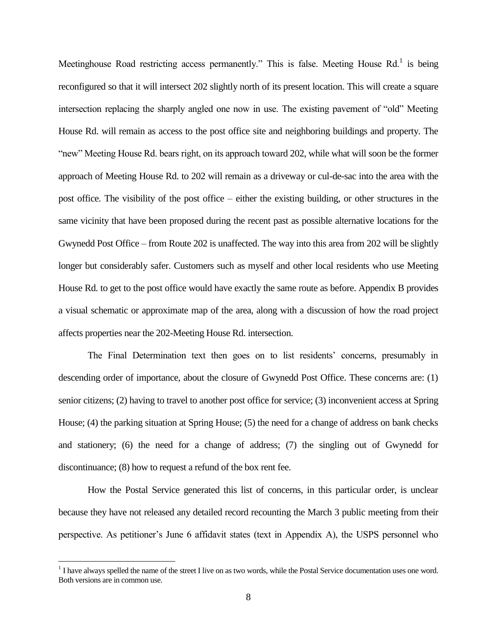Meetinghouse Road restricting access permanently." This is false. Meeting House  $\text{Rd}$ .<sup>1</sup> is being reconfigured so that it will intersect 202 slightly north of its present location. This will create a square intersection replacing the sharply angled one now in use. The existing pavement of "old" Meeting House Rd. will remain as access to the post office site and neighboring buildings and property. The "new" Meeting House Rd. bears right, on its approach toward 202, while what will soon be the former approach of Meeting House Rd. to 202 will remain as a driveway or cul-de-sac into the area with the post office. The visibility of the post office – either the existing building, or other structures in the same vicinity that have been proposed during the recent past as possible alternative locations for the Gwynedd Post Office – from Route 202 is unaffected. The way into this area from 202 will be slightly longer but considerably safer. Customers such as myself and other local residents who use Meeting House Rd. to get to the post office would have exactly the same route as before. Appendix B provides a visual schematic or approximate map of the area, along with a discussion of how the road project affects properties near the 202-Meeting House Rd. intersection.

The Final Determination text then goes on to list residents' concerns, presumably in descending order of importance, about the closure of Gwynedd Post Office. These concerns are: (1) senior citizens; (2) having to travel to another post office for service; (3) inconvenient access at Spring House; (4) the parking situation at Spring House; (5) the need for a change of address on bank checks and stationery; (6) the need for a change of address; (7) the singling out of Gwynedd for discontinuance; (8) how to request a refund of the box rent fee.

How the Postal Service generated this list of concerns, in this particular order, is unclear because they have not released any detailed record recounting the March 3 public meeting from their perspective. As petitioner's June 6 affidavit states (text in Appendix A), the USPS personnel who

 $\overline{a}$ 

 $<sup>1</sup>$  I have always spelled the name of the street I live on as two words, while the Postal Service documentation uses one word.</sup> Both versions are in common use.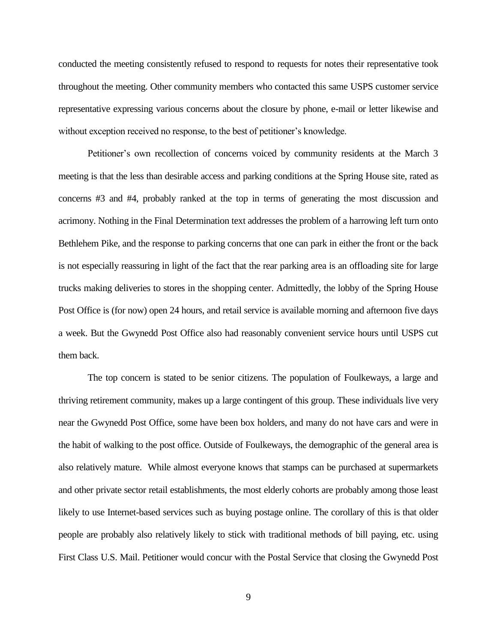conducted the meeting consistently refused to respond to requests for notes their representative took throughout the meeting. Other community members who contacted this same USPS customer service representative expressing various concerns about the closure by phone, e-mail or letter likewise and without exception received no response, to the best of petitioner's knowledge.

Petitioner's own recollection of concerns voiced by community residents at the March 3 meeting is that the less than desirable access and parking conditions at the Spring House site, rated as concerns #3 and #4, probably ranked at the top in terms of generating the most discussion and acrimony. Nothing in the Final Determination text addresses the problem of a harrowing left turn onto Bethlehem Pike, and the response to parking concerns that one can park in either the front or the back is not especially reassuring in light of the fact that the rear parking area is an offloading site for large trucks making deliveries to stores in the shopping center. Admittedly, the lobby of the Spring House Post Office is (for now) open 24 hours, and retail service is available morning and afternoon five days a week. But the Gwynedd Post Office also had reasonably convenient service hours until USPS cut them back.

The top concern is stated to be senior citizens. The population of Foulkeways, a large and thriving retirement community, makes up a large contingent of this group. These individuals live very near the Gwynedd Post Office, some have been box holders, and many do not have cars and were in the habit of walking to the post office. Outside of Foulkeways, the demographic of the general area is also relatively mature. While almost everyone knows that stamps can be purchased at supermarkets and other private sector retail establishments, the most elderly cohorts are probably among those least likely to use Internet-based services such as buying postage online. The corollary of this is that older people are probably also relatively likely to stick with traditional methods of bill paying, etc. using First Class U.S. Mail. Petitioner would concur with the Postal Service that closing the Gwynedd Post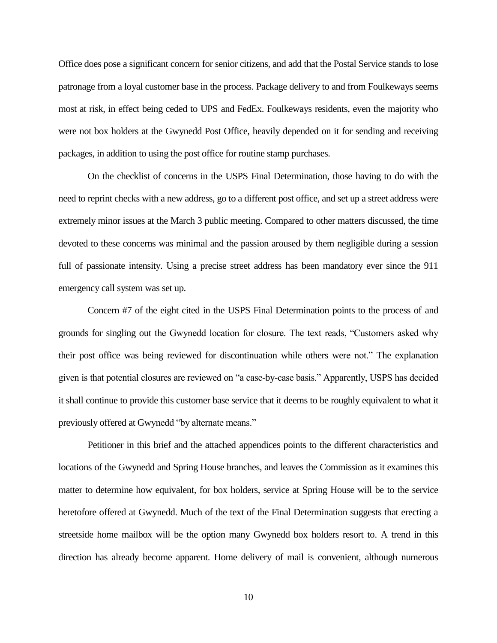Office does pose a significant concern for senior citizens, and add that the Postal Service stands to lose patronage from a loyal customer base in the process. Package delivery to and from Foulkeways seems most at risk, in effect being ceded to UPS and FedEx. Foulkeways residents, even the majority who were not box holders at the Gwynedd Post Office, heavily depended on it for sending and receiving packages, in addition to using the post office for routine stamp purchases.

On the checklist of concerns in the USPS Final Determination, those having to do with the need to reprint checks with a new address, go to a different post office, and set up a street address were extremely minor issues at the March 3 public meeting. Compared to other matters discussed, the time devoted to these concerns was minimal and the passion aroused by them negligible during a session full of passionate intensity. Using a precise street address has been mandatory ever since the 911 emergency call system was set up.

Concern #7 of the eight cited in the USPS Final Determination points to the process of and grounds for singling out the Gwynedd location for closure. The text reads, "Customers asked why their post office was being reviewed for discontinuation while others were not." The explanation given is that potential closures are reviewed on "a case-by-case basis." Apparently, USPS has decided it shall continue to provide this customer base service that it deems to be roughly equivalent to what it previously offered at Gwynedd "by alternate means."

Petitioner in this brief and the attached appendices points to the different characteristics and locations of the Gwynedd and Spring House branches, and leaves the Commission as it examines this matter to determine how equivalent, for box holders, service at Spring House will be to the service heretofore offered at Gwynedd. Much of the text of the Final Determination suggests that erecting a streetside home mailbox will be the option many Gwynedd box holders resort to. A trend in this direction has already become apparent. Home delivery of mail is convenient, although numerous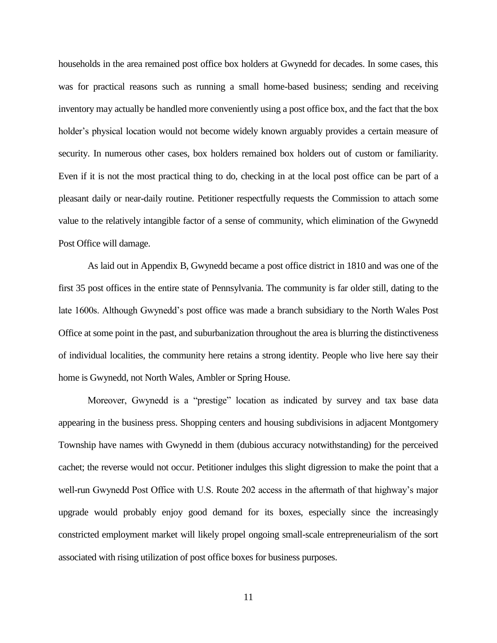households in the area remained post office box holders at Gwynedd for decades. In some cases, this was for practical reasons such as running a small home-based business; sending and receiving inventory may actually be handled more conveniently using a post office box, and the fact that the box holder's physical location would not become widely known arguably provides a certain measure of security. In numerous other cases, box holders remained box holders out of custom or familiarity. Even if it is not the most practical thing to do, checking in at the local post office can be part of a pleasant daily or near-daily routine. Petitioner respectfully requests the Commission to attach some value to the relatively intangible factor of a sense of community, which elimination of the Gwynedd Post Office will damage.

As laid out in Appendix B, Gwynedd became a post office district in 1810 and was one of the first 35 post offices in the entire state of Pennsylvania. The community is far older still, dating to the late 1600s. Although Gwynedd's post office was made a branch subsidiary to the North Wales Post Office at some point in the past, and suburbanization throughout the area is blurring the distinctiveness of individual localities, the community here retains a strong identity. People who live here say their home is Gwynedd, not North Wales, Ambler or Spring House.

Moreover, Gwynedd is a "prestige" location as indicated by survey and tax base data appearing in the business press. Shopping centers and housing subdivisions in adjacent Montgomery Township have names with Gwynedd in them (dubious accuracy notwithstanding) for the perceived cachet; the reverse would not occur. Petitioner indulges this slight digression to make the point that a well-run Gwynedd Post Office with U.S. Route 202 access in the aftermath of that highway's major upgrade would probably enjoy good demand for its boxes, especially since the increasingly constricted employment market will likely propel ongoing small-scale entrepreneurialism of the sort associated with rising utilization of post office boxes for business purposes.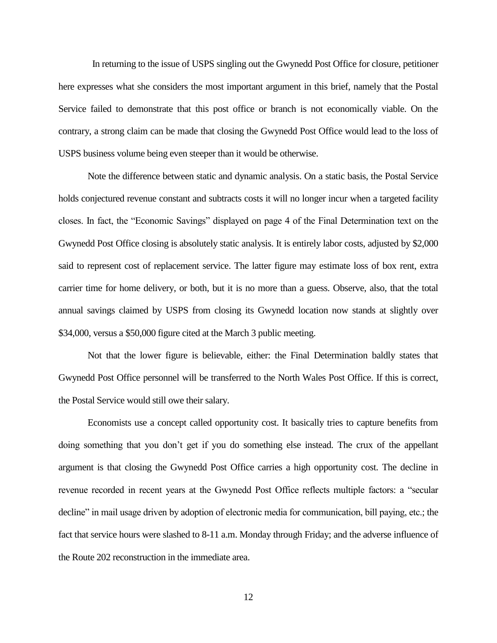In returning to the issue of USPS singling out the Gwynedd Post Office for closure, petitioner here expresses what she considers the most important argument in this brief, namely that the Postal Service failed to demonstrate that this post office or branch is not economically viable. On the contrary, a strong claim can be made that closing the Gwynedd Post Office would lead to the loss of USPS business volume being even steeper than it would be otherwise.

Note the difference between static and dynamic analysis. On a static basis, the Postal Service holds conjectured revenue constant and subtracts costs it will no longer incur when a targeted facility closes. In fact, the "Economic Savings" displayed on page 4 of the Final Determination text on the Gwynedd Post Office closing is absolutely static analysis. It is entirely labor costs, adjusted by \$2,000 said to represent cost of replacement service. The latter figure may estimate loss of box rent, extra carrier time for home delivery, or both, but it is no more than a guess. Observe, also, that the total annual savings claimed by USPS from closing its Gwynedd location now stands at slightly over \$34,000, versus a \$50,000 figure cited at the March 3 public meeting.

Not that the lower figure is believable, either: the Final Determination baldly states that Gwynedd Post Office personnel will be transferred to the North Wales Post Office. If this is correct, the Postal Service would still owe their salary.

Economists use a concept called opportunity cost. It basically tries to capture benefits from doing something that you don't get if you do something else instead. The crux of the appellant argument is that closing the Gwynedd Post Office carries a high opportunity cost. The decline in revenue recorded in recent years at the Gwynedd Post Office reflects multiple factors: a "secular decline" in mail usage driven by adoption of electronic media for communication, bill paying, etc.; the fact that service hours were slashed to 8-11 a.m. Monday through Friday; and the adverse influence of the Route 202 reconstruction in the immediate area.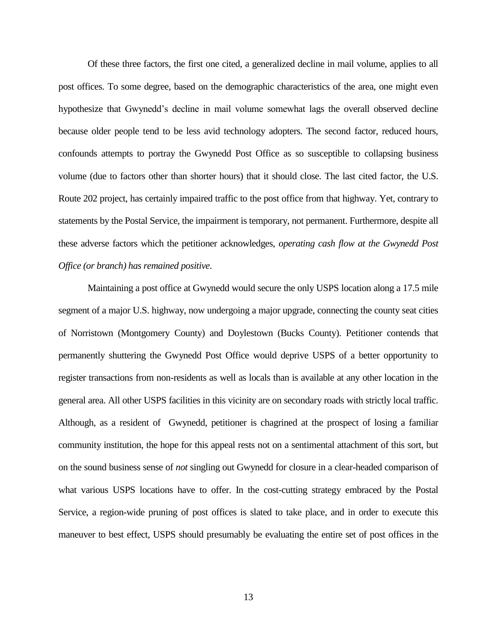Of these three factors, the first one cited, a generalized decline in mail volume, applies to all post offices. To some degree, based on the demographic characteristics of the area, one might even hypothesize that Gwynedd's decline in mail volume somewhat lags the overall observed decline because older people tend to be less avid technology adopters. The second factor, reduced hours, confounds attempts to portray the Gwynedd Post Office as so susceptible to collapsing business volume (due to factors other than shorter hours) that it should close. The last cited factor, the U.S. Route 202 project, has certainly impaired traffic to the post office from that highway. Yet, contrary to statements by the Postal Service, the impairment is temporary, not permanent. Furthermore, despite all these adverse factors which the petitioner acknowledges, *operating cash flow at the Gwynedd Post Office (or branch) has remained positive*.

Maintaining a post office at Gwynedd would secure the only USPS location along a 17.5 mile segment of a major U.S. highway, now undergoing a major upgrade, connecting the county seat cities of Norristown (Montgomery County) and Doylestown (Bucks County). Petitioner contends that permanently shuttering the Gwynedd Post Office would deprive USPS of a better opportunity to register transactions from non-residents as well as locals than is available at any other location in the general area. All other USPS facilities in this vicinity are on secondary roads with strictly local traffic. Although, as a resident of Gwynedd, petitioner is chagrined at the prospect of losing a familiar community institution, the hope for this appeal rests not on a sentimental attachment of this sort, but on the sound business sense of *not* singling out Gwynedd for closure in a clear-headed comparison of what various USPS locations have to offer. In the cost-cutting strategy embraced by the Postal Service, a region-wide pruning of post offices is slated to take place, and in order to execute this maneuver to best effect, USPS should presumably be evaluating the entire set of post offices in the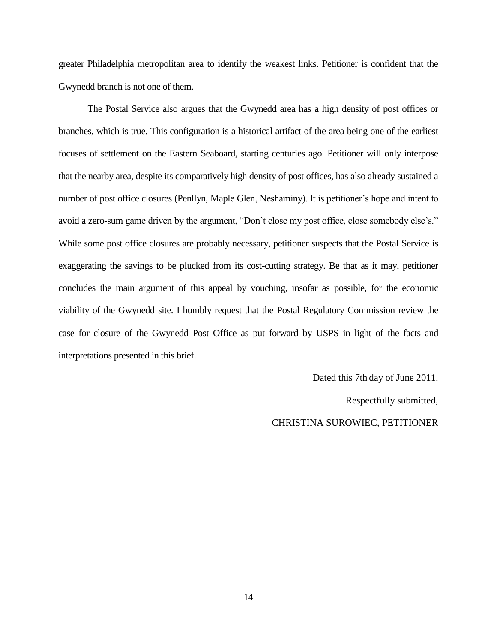greater Philadelphia metropolitan area to identify the weakest links. Petitioner is confident that the Gwynedd branch is not one of them.

The Postal Service also argues that the Gwynedd area has a high density of post offices or branches, which is true. This configuration is a historical artifact of the area being one of the earliest focuses of settlement on the Eastern Seaboard, starting centuries ago. Petitioner will only interpose that the nearby area, despite its comparatively high density of post offices, has also already sustained a number of post office closures (Penllyn, Maple Glen, Neshaminy). It is petitioner's hope and intent to avoid a zero-sum game driven by the argument, "Don't close my post office, close somebody else's." While some post office closures are probably necessary, petitioner suspects that the Postal Service is exaggerating the savings to be plucked from its cost-cutting strategy. Be that as it may, petitioner concludes the main argument of this appeal by vouching, insofar as possible, for the economic viability of the Gwynedd site. I humbly request that the Postal Regulatory Commission review the case for closure of the Gwynedd Post Office as put forward by USPS in light of the facts and interpretations presented in this brief.

> Dated this 7th day of June 2011. Respectfully submitted, CHRISTINA SUROWIEC, PETITIONER

14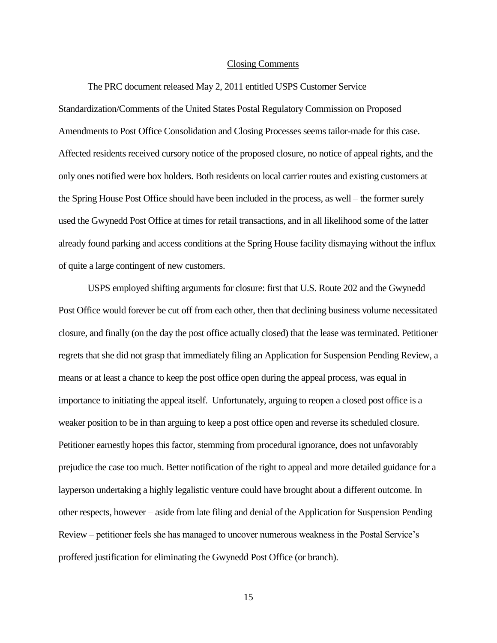#### Closing Comments

The PRC document released May 2, 2011 entitled USPS Customer Service Standardization/Comments of the United States Postal Regulatory Commission on Proposed Amendments to Post Office Consolidation and Closing Processes seems tailor-made for this case. Affected residents received cursory notice of the proposed closure, no notice of appeal rights, and the only ones notified were box holders. Both residents on local carrier routes and existing customers at the Spring House Post Office should have been included in the process, as well – the former surely used the Gwynedd Post Office at times for retail transactions, and in all likelihood some of the latter already found parking and access conditions at the Spring House facility dismaying without the influx of quite a large contingent of new customers.

USPS employed shifting arguments for closure: first that U.S. Route 202 and the Gwynedd Post Office would forever be cut off from each other, then that declining business volume necessitated closure, and finally (on the day the post office actually closed) that the lease was terminated. Petitioner regrets that she did not grasp that immediately filing an Application for Suspension Pending Review, a means or at least a chance to keep the post office open during the appeal process, was equal in importance to initiating the appeal itself. Unfortunately, arguing to reopen a closed post office is a weaker position to be in than arguing to keep a post office open and reverse its scheduled closure. Petitioner earnestly hopes this factor, stemming from procedural ignorance, does not unfavorably prejudice the case too much. Better notification of the right to appeal and more detailed guidance for a layperson undertaking a highly legalistic venture could have brought about a different outcome. In other respects, however – aside from late filing and denial of the Application for Suspension Pending Review – petitioner feels she has managed to uncover numerous weakness in the Postal Service's proffered justification for eliminating the Gwynedd Post Office (or branch).

15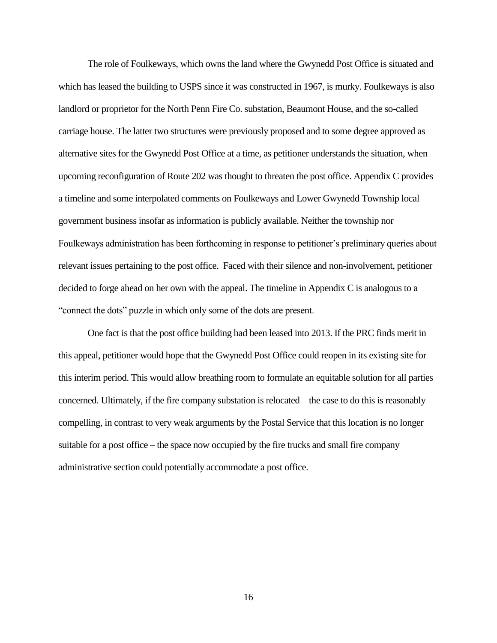The role of Foulkeways, which owns the land where the Gwynedd Post Office is situated and which has leased the building to USPS since it was constructed in 1967, is murky. Foulkeways is also landlord or proprietor for the North Penn Fire Co. substation, Beaumont House, and the so-called carriage house. The latter two structures were previously proposed and to some degree approved as alternative sites for the Gwynedd Post Office at a time, as petitioner understands the situation, when upcoming reconfiguration of Route 202 was thought to threaten the post office. Appendix C provides a timeline and some interpolated comments on Foulkeways and Lower Gwynedd Township local government business insofar as information is publicly available. Neither the township nor Foulkeways administration has been forthcoming in response to petitioner's preliminary queries about relevant issues pertaining to the post office. Faced with their silence and non-involvement, petitioner decided to forge ahead on her own with the appeal. The timeline in Appendix C is analogous to a "connect the dots" puzzle in which only some of the dots are present.

One fact is that the post office building had been leased into 2013. If the PRC finds merit in this appeal, petitioner would hope that the Gwynedd Post Office could reopen in its existing site for this interim period. This would allow breathing room to formulate an equitable solution for all parties concerned. Ultimately, if the fire company substation is relocated – the case to do this is reasonably compelling, in contrast to very weak arguments by the Postal Service that this location is no longer suitable for a post office – the space now occupied by the fire trucks and small fire company administrative section could potentially accommodate a post office.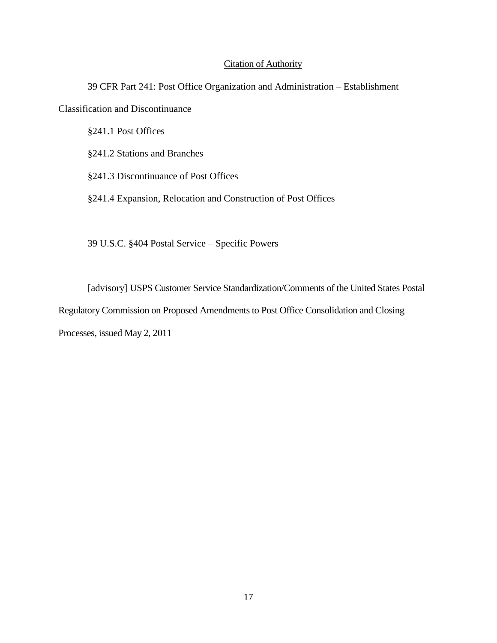## Citation of Authority

39 CFR Part 241: Post Office Organization and Administration – Establishment Classification and Discontinuance

§241.1 Post Offices

§241.2 Stations and Branches

§241.3 Discontinuance of Post Offices

§241.4 Expansion, Relocation and Construction of Post Offices

39 U.S.C. §404 Postal Service – Specific Powers

[advisory] USPS Customer Service Standardization/Comments of the United States Postal Regulatory Commission on Proposed Amendments to Post Office Consolidation and Closing Processes, issued May 2, 2011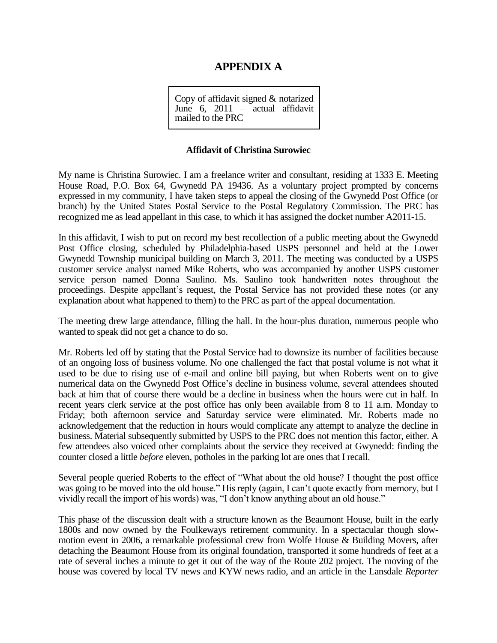# **APPENDIX A**

Copy of affidavit signed & notarized June 6, 2011 – actual affidavit mailed to the PRC

#### **Affidavit of Christina Surowiec**

My name is Christina Surowiec. I am a freelance writer and consultant, residing at 1333 E. Meeting House Road, P.O. Box 64, Gwynedd PA 19436. As a voluntary project prompted by concerns expressed in my community, I have taken steps to appeal the closing of the Gwynedd Post Office (or branch) by the United States Postal Service to the Postal Regulatory Commission. The PRC has recognized me as lead appellant in this case, to which it has assigned the docket number A2011-15.

In this affidavit, I wish to put on record my best recollection of a public meeting about the Gwynedd Post Office closing, scheduled by Philadelphia-based USPS personnel and held at the Lower Gwynedd Township municipal building on March 3, 2011. The meeting was conducted by a USPS customer service analyst named Mike Roberts, who was accompanied by another USPS customer service person named Donna Saulino. Ms. Saulino took handwritten notes throughout the proceedings. Despite appellant's request, the Postal Service has not provided these notes (or any explanation about what happened to them) to the PRC as part of the appeal documentation.

The meeting drew large attendance, filling the hall. In the hour-plus duration, numerous people who wanted to speak did not get a chance to do so.

Mr. Roberts led off by stating that the Postal Service had to downsize its number of facilities because of an ongoing loss of business volume. No one challenged the fact that postal volume is not what it used to be due to rising use of e-mail and online bill paying, but when Roberts went on to give numerical data on the Gwynedd Post Office's decline in business volume, several attendees shouted back at him that of course there would be a decline in business when the hours were cut in half. In recent years clerk service at the post office has only been available from 8 to 11 a.m. Monday to Friday; both afternoon service and Saturday service were eliminated. Mr. Roberts made no acknowledgement that the reduction in hours would complicate any attempt to analyze the decline in business. Material subsequently submitted by USPS to the PRC does not mention this factor, either. A few attendees also voiced other complaints about the service they received at Gwynedd: finding the counter closed a little *before* eleven, potholes in the parking lot are ones that I recall.

Several people queried Roberts to the effect of "What about the old house? I thought the post office was going to be moved into the old house." His reply (again, I can't quote exactly from memory, but I vividly recall the import of his words) was, "I don't know anything about an old house."

This phase of the discussion dealt with a structure known as the Beaumont House, built in the early 1800s and now owned by the Foulkeways retirement community. In a spectacular though slowmotion event in 2006, a remarkable professional crew from Wolfe House & Building Movers, after detaching the Beaumont House from its original foundation, transported it some hundreds of feet at a rate of several inches a minute to get it out of the way of the Route 202 project. The moving of the house was covered by local TV news and KYW news radio, and an article in the Lansdale *Reporter*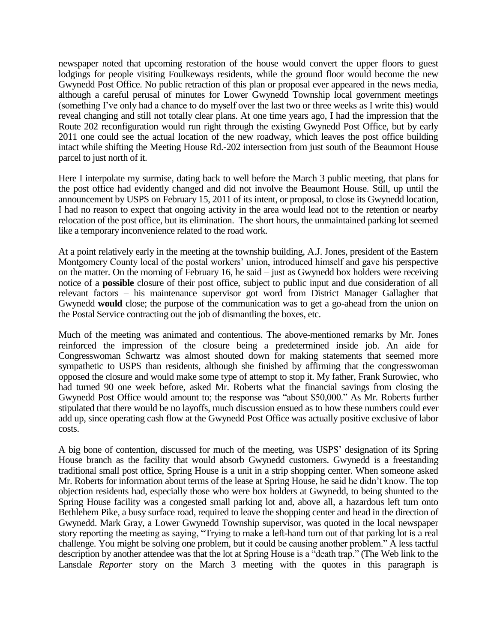newspaper noted that upcoming restoration of the house would convert the upper floors to guest lodgings for people visiting Foulkeways residents, while the ground floor would become the new Gwynedd Post Office. No public retraction of this plan or proposal ever appeared in the news media, although a careful perusal of minutes for Lower Gwynedd Township local government meetings (something I've only had a chance to do myself over the last two or three weeks as I write this) would reveal changing and still not totally clear plans. At one time years ago, I had the impression that the Route 202 reconfiguration would run right through the existing Gwynedd Post Office, but by early 2011 one could see the actual location of the new roadway, which leaves the post office building intact while shifting the Meeting House Rd.-202 intersection from just south of the Beaumont House parcel to just north of it.

Here I interpolate my surmise, dating back to well before the March 3 public meeting, that plans for the post office had evidently changed and did not involve the Beaumont House. Still, up until the announcement by USPS on February 15, 2011 of its intent, or proposal, to close its Gwynedd location, I had no reason to expect that ongoing activity in the area would lead not to the retention or nearby relocation of the post office, but its elimination. The short hours, the unmaintained parking lot seemed like a temporary inconvenience related to the road work.

At a point relatively early in the meeting at the township building, A.J. Jones, president of the Eastern Montgomery County local of the postal workers' union, introduced himself and gave his perspective on the matter. On the morning of February 16, he said – just as Gwynedd box holders were receiving notice of a **possible** closure of their post office, subject to public input and due consideration of all relevant factors – his maintenance supervisor got word from District Manager Gallagher that Gwynedd **would** close; the purpose of the communication was to get a go-ahead from the union on the Postal Service contracting out the job of dismantling the boxes, etc.

Much of the meeting was animated and contentious. The above-mentioned remarks by Mr. Jones reinforced the impression of the closure being a predetermined inside job. An aide for Congresswoman Schwartz was almost shouted down for making statements that seemed more sympathetic to USPS than residents, although she finished by affirming that the congresswoman opposed the closure and would make some type of attempt to stop it. My father, Frank Surowiec, who had turned 90 one week before, asked Mr. Roberts what the financial savings from closing the Gwynedd Post Office would amount to; the response was "about \$50,000." As Mr. Roberts further stipulated that there would be no layoffs, much discussion ensued as to how these numbers could ever add up, since operating cash flow at the Gwynedd Post Office was actually positive exclusive of labor costs.

A big bone of contention, discussed for much of the meeting, was USPS' designation of its Spring House branch as the facility that would absorb Gwynedd customers. Gwynedd is a freestanding traditional small post office, Spring House is a unit in a strip shopping center. When someone asked Mr. Roberts for information about terms of the lease at Spring House, he said he didn't know. The top objection residents had, especially those who were box holders at Gwynedd, to being shunted to the Spring House facility was a congested small parking lot and, above all, a hazardous left turn onto Bethlehem Pike, a busy surface road, required to leave the shopping center and head in the direction of Gwynedd. Mark Gray, a Lower Gwynedd Township supervisor, was quoted in the local newspaper story reporting the meeting as saying, "Trying to make a left-hand turn out of that parking lot is a real challenge. You might be solving one problem, but it could be causing another problem." A less tactful description by another attendee was that the lot at Spring House is a "death trap." (The Web link to the Lansdale *Reporter* story on the March 3 meeting with the quotes in this paragraph is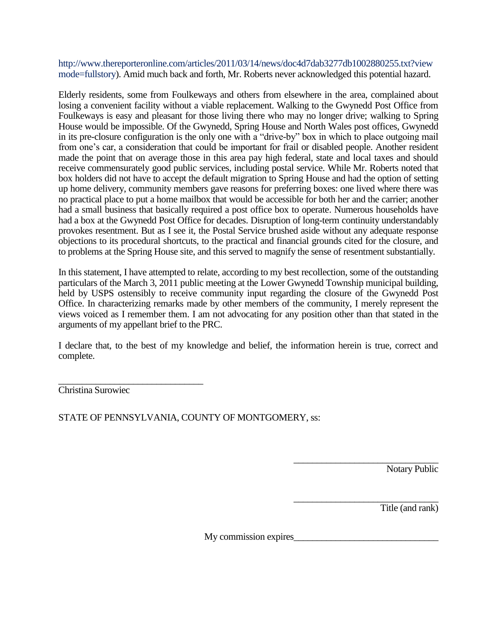http://www.thereporteronline.com/articles/2011/03/14/news/doc4d7dab3277db1002880255.txt?view mode=fullstory). Amid much back and forth, Mr. Roberts never acknowledged this potential hazard.

Elderly residents, some from Foulkeways and others from elsewhere in the area, complained about losing a convenient facility without a viable replacement. Walking to the Gwynedd Post Office from Foulkeways is easy and pleasant for those living there who may no longer drive; walking to Spring House would be impossible. Of the Gwynedd, Spring House and North Wales post offices, Gwynedd in its pre-closure configuration is the only one with a "drive-by" box in which to place outgoing mail from one's car, a consideration that could be important for frail or disabled people. Another resident made the point that on average those in this area pay high federal, state and local taxes and should receive commensurately good public services, including postal service. While Mr. Roberts noted that box holders did not have to accept the default migration to Spring House and had the option of setting up home delivery, community members gave reasons for preferring boxes: one lived where there was no practical place to put a home mailbox that would be accessible for both her and the carrier; another had a small business that basically required a post office box to operate. Numerous households have had a box at the Gwynedd Post Office for decades. Disruption of long-term continuity understandably provokes resentment. But as I see it, the Postal Service brushed aside without any adequate response objections to its procedural shortcuts, to the practical and financial grounds cited for the closure, and to problems at the Spring House site, and this served to magnify the sense of resentment substantially.

In this statement, I have attempted to relate, according to my best recollection, some of the outstanding particulars of the March 3, 2011 public meeting at the Lower Gwynedd Township municipal building, held by USPS ostensibly to receive community input regarding the closure of the Gwynedd Post Office. In characterizing remarks made by other members of the community, I merely represent the views voiced as I remember them. I am not advocating for any position other than that stated in the arguments of my appellant brief to the PRC.

I declare that, to the best of my knowledge and belief, the information herein is true, correct and complete.

\_\_\_\_\_\_\_\_\_\_\_\_\_\_\_\_\_\_\_\_\_\_\_\_\_\_\_\_\_\_\_ Christina Surowiec

STATE OF PENNSYLVANIA, COUNTY OF MONTGOMERY, ss:

\_\_\_\_\_\_\_\_\_\_\_\_\_\_\_\_\_\_\_\_\_\_\_\_\_\_\_\_\_\_\_ Notary Public

\_\_\_\_\_\_\_\_\_\_\_\_\_\_\_\_\_\_\_\_\_\_\_\_\_\_\_\_\_\_\_ Title (and rank)

My commission expires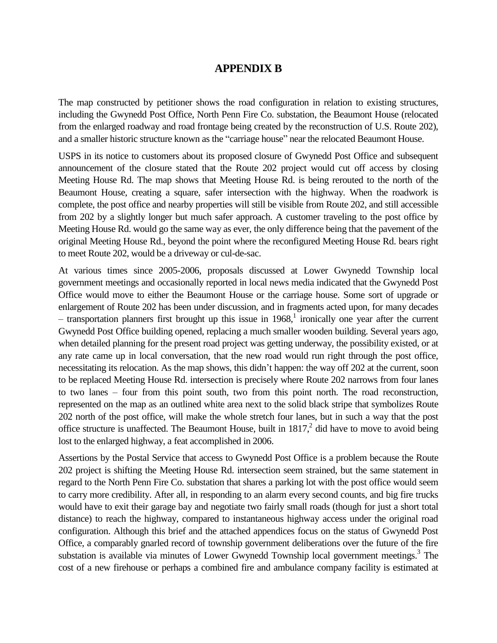# **APPENDIX B**

The map constructed by petitioner shows the road configuration in relation to existing structures, including the Gwynedd Post Office, North Penn Fire Co. substation, the Beaumont House (relocated from the enlarged roadway and road frontage being created by the reconstruction of U.S. Route 202), and a smaller historic structure known as the "carriage house" near the relocated Beaumont House.

USPS in its notice to customers about its proposed closure of Gwynedd Post Office and subsequent announcement of the closure stated that the Route 202 project would cut off access by closing Meeting House Rd. The map shows that Meeting House Rd. is being rerouted to the north of the Beaumont House, creating a square, safer intersection with the highway. When the roadwork is complete, the post office and nearby properties will still be visible from Route 202, and still accessible from 202 by a slightly longer but much safer approach. A customer traveling to the post office by Meeting House Rd. would go the same way as ever, the only difference being that the pavement of the original Meeting House Rd., beyond the point where the reconfigured Meeting House Rd. bears right to meet Route 202, would be a driveway or cul-de-sac.

At various times since 2005-2006, proposals discussed at Lower Gwynedd Township local government meetings and occasionally reported in local news media indicated that the Gwynedd Post Office would move to either the Beaumont House or the carriage house. Some sort of upgrade or enlargement of Route 202 has been under discussion, and in fragments acted upon, for many decades  $-$  transportation planners first brought up this issue in 1968,<sup>1</sup> ironically one year after the current Gwynedd Post Office building opened, replacing a much smaller wooden building. Several years ago, when detailed planning for the present road project was getting underway, the possibility existed, or at any rate came up in local conversation, that the new road would run right through the post office, necessitating its relocation. As the map shows, this didn't happen: the way off 202 at the current, soon to be replaced Meeting House Rd. intersection is precisely where Route 202 narrows from four lanes to two lanes – four from this point south, two from this point north. The road reconstruction, represented on the map as an outlined white area next to the solid black stripe that symbolizes Route 202 north of the post office, will make the whole stretch four lanes, but in such a way that the post office structure is unaffected. The Beaumont House, built in  $1817<sup>2</sup>$  did have to move to avoid being lost to the enlarged highway, a feat accomplished in 2006.

Assertions by the Postal Service that access to Gwynedd Post Office is a problem because the Route 202 project is shifting the Meeting House Rd. intersection seem strained, but the same statement in regard to the North Penn Fire Co. substation that shares a parking lot with the post office would seem to carry more credibility. After all, in responding to an alarm every second counts, and big fire trucks would have to exit their garage bay and negotiate two fairly small roads (though for just a short total distance) to reach the highway, compared to instantaneous highway access under the original road configuration. Although this brief and the attached appendices focus on the status of Gwynedd Post Office, a comparably gnarled record of township government deliberations over the future of the fire substation is available via minutes of Lower Gwynedd Township local government meetings. $3$  The cost of a new firehouse or perhaps a combined fire and ambulance company facility is estimated at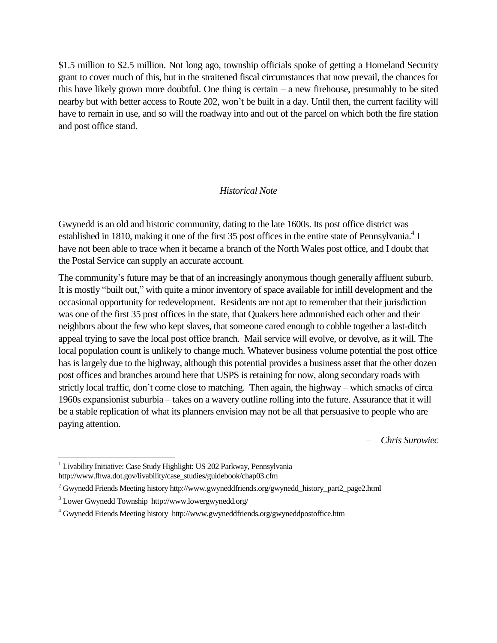\$1.5 million to \$2.5 million. Not long ago, township officials spoke of getting a Homeland Security grant to cover much of this, but in the straitened fiscal circumstances that now prevail, the chances for this have likely grown more doubtful. One thing is certain – a new firehouse, presumably to be sited nearby but with better access to Route 202, won't be built in a day. Until then, the current facility will have to remain in use, and so will the roadway into and out of the parcel on which both the fire station and post office stand.

#### *Historical Note*

Gwynedd is an old and historic community, dating to the late 1600s. Its post office district was established in 1810, making it one of the first 35 post offices in the entire state of Pennsylvania.<sup>4</sup> I have not been able to trace when it became a branch of the North Wales post office, and I doubt that the Postal Service can supply an accurate account.

The community's future may be that of an increasingly anonymous though generally affluent suburb. It is mostly "built out," with quite a minor inventory of space available for infill development and the occasional opportunity for redevelopment. Residents are not apt to remember that their jurisdiction was one of the first 35 post offices in the state, that Quakers here admonished each other and their neighbors about the few who kept slaves, that someone cared enough to cobble together a last-ditch appeal trying to save the local post office branch. Mail service will evolve, or devolve, as it will. The local population count is unlikely to change much. Whatever business volume potential the post office has is largely due to the highway, although this potential provides a business asset that the other dozen post offices and branches around here that USPS is retaining for now, along secondary roads with strictly local traffic, don't come close to matching. Then again, the highway – which smacks of circa 1960s expansionist suburbia – takes on a wavery outline rolling into the future. Assurance that it will be a stable replication of what its planners envision may not be all that persuasive to people who are paying attention.

– *Chris Surowiec*

 $\overline{a}$ 

<sup>&</sup>lt;sup>1</sup> Livability Initiative: Case Study Highlight: US 202 Parkway, Pennsylvania http://www.fhwa.dot.gov/livability/case\_studies/guidebook/chap03.cfm

<sup>2</sup> Gwynedd Friends Meeting history http://www.gwyneddfriends.org/gwynedd\_history\_part2\_page2.html

<sup>3</sup> Lower Gwynedd Township http://www.lowergwynedd.org/

<sup>4</sup> Gwynedd Friends Meeting history http://www.gwyneddfriends.org/gwyneddpostoffice.htm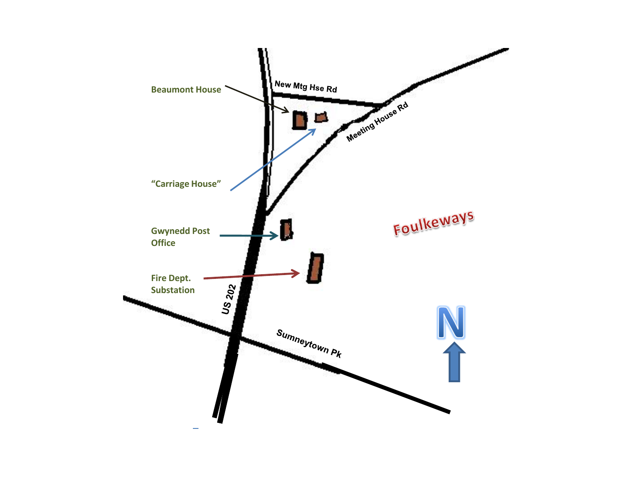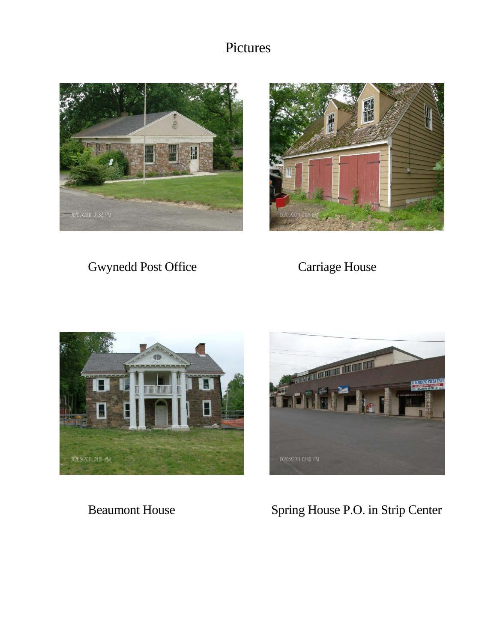# Pictures





Gwynedd Post Office Carriage House





Beaumont House Spring House P.O. in Strip Center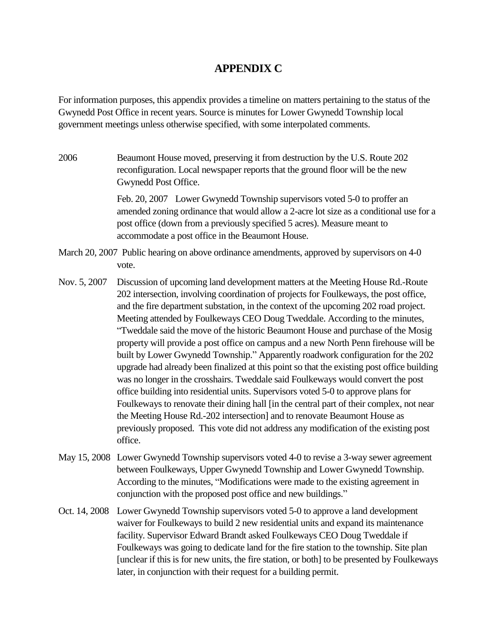# **APPENDIX C**

For information purposes, this appendix provides a timeline on matters pertaining to the status of the Gwynedd Post Office in recent years. Source is minutes for Lower Gwynedd Township local government meetings unless otherwise specified, with some interpolated comments.

2006 Beaumont House moved, preserving it from destruction by the U.S. Route 202 reconfiguration. Local newspaper reports that the ground floor will be the new Gwynedd Post Office.

> Feb. 20, 2007 Lower Gwynedd Township supervisors voted 5-0 to proffer an amended zoning ordinance that would allow a 2-acre lot size as a conditional use for a post office (down from a previously specified 5 acres). Measure meant to accommodate a post office in the Beaumont House.

- March 20, 2007 Public hearing on above ordinance amendments, approved by supervisors on 4-0 vote.
- Nov. 5, 2007 Discussion of upcoming land development matters at the Meeting House Rd.-Route 202 intersection, involving coordination of projects for Foulkeways, the post office, and the fire department substation, in the context of the upcoming 202 road project. Meeting attended by Foulkeways CEO Doug Tweddale. According to the minutes, "Tweddale said the move of the historic Beaumont House and purchase of the Mosig property will provide a post office on campus and a new North Penn firehouse will be built by Lower Gwynedd Township." Apparently roadwork configuration for the 202 upgrade had already been finalized at this point so that the existing post office building was no longer in the crosshairs. Tweddale said Foulkeways would convert the post office building into residential units. Supervisors voted 5-0 to approve plans for Foulkeways to renovate their dining hall [in the central part of their complex, not near the Meeting House Rd.-202 intersection] and to renovate Beaumont House as previously proposed. This vote did not address any modification of the existing post office.
- May 15, 2008 Lower Gwynedd Township supervisors voted 4-0 to revise a 3-way sewer agreement between Foulkeways, Upper Gwynedd Township and Lower Gwynedd Township. According to the minutes, "Modifications were made to the existing agreement in conjunction with the proposed post office and new buildings."
- Oct. 14, 2008 Lower Gwynedd Township supervisors voted 5-0 to approve a land development waiver for Foulkeways to build 2 new residential units and expand its maintenance facility. Supervisor Edward Brandt asked Foulkeways CEO Doug Tweddale if Foulkeways was going to dedicate land for the fire station to the township. Site plan [unclear if this is for new units, the fire station, or both] to be presented by Foulkeways later, in conjunction with their request for a building permit.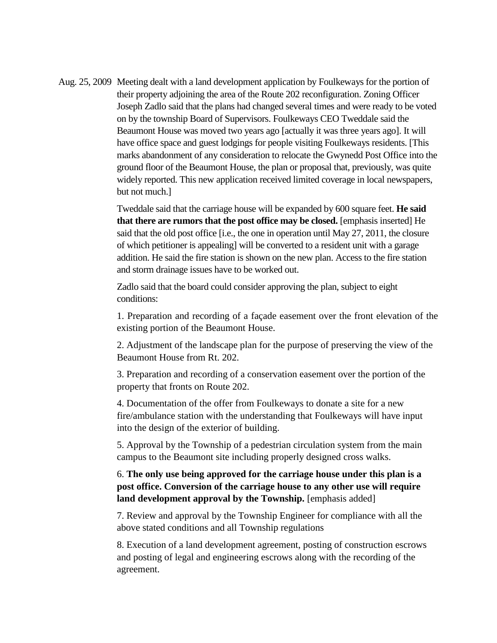Aug. 25, 2009 Meeting dealt with a land development application by Foulkeways for the portion of their property adjoining the area of the Route 202 reconfiguration. Zoning Officer Joseph Zadlo said that the plans had changed several times and were ready to be voted on by the township Board of Supervisors. Foulkeways CEO Tweddale said the Beaumont House was moved two years ago [actually it was three years ago]. It will have office space and guest lodgings for people visiting Foulkeways residents. [This marks abandonment of any consideration to relocate the Gwynedd Post Office into the ground floor of the Beaumont House, the plan or proposal that, previously, was quite widely reported. This new application received limited coverage in local newspapers, but not much.]

> Tweddale said that the carriage house will be expanded by 600 square feet. **He said that there are rumors that the post office may be closed.** [emphasis inserted] He said that the old post office [i.e., the one in operation until May 27, 2011, the closure of which petitioner is appealing] will be converted to a resident unit with a garage addition. He said the fire station is shown on the new plan. Access to the fire station and storm drainage issues have to be worked out.

Zadlo said that the board could consider approving the plan, subject to eight conditions:

1. Preparation and recording of a façade easement over the front elevation of the existing portion of the Beaumont House.

2. Adjustment of the landscape plan for the purpose of preserving the view of the Beaumont House from Rt. 202.

3. Preparation and recording of a conservation easement over the portion of the property that fronts on Route 202.

4. Documentation of the offer from Foulkeways to donate a site for a new fire/ambulance station with the understanding that Foulkeways will have input into the design of the exterior of building.

5. Approval by the Township of a pedestrian circulation system from the main campus to the Beaumont site including properly designed cross walks.

6. **The only use being approved for the carriage house under this plan is a post office. Conversion of the carriage house to any other use will require land development approval by the Township.** [emphasis added]

7. Review and approval by the Township Engineer for compliance with all the above stated conditions and all Township regulations

8. Execution of a land development agreement, posting of construction escrows and posting of legal and engineering escrows along with the recording of the agreement.